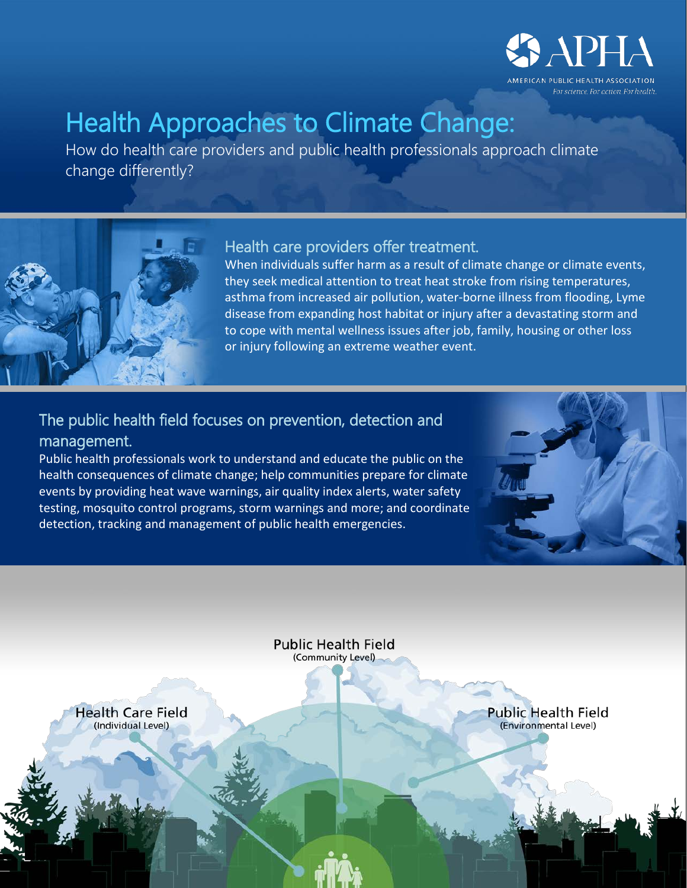

# Health Approaches to Climate Change:<br>How do health care providers and public health professionals approach climate

change differently?



## Health care providers offer treatment.

When individuals suffer harm as a result of climate change or climate events, they seek medical attention to treat heat stroke from rising temperatures, asthma from increased air pollution, water-borne illness from flooding, Lyme disease from expanding host habitat or injury after a devastating storm and to cope with mental wellness issues after job, family, housing or other loss or injury following an extreme weather event.

## The public health field focuses on prevention, detection and management.

Public health professionals work to understand and educate the public on the health consequences of climate change; help communities prepare for climate events by providing heat wave warnings, air quality index alerts, water safety testing, mosquito control programs, storm warnings and more; and coordinate detection, tracking and management of public health emergencies.